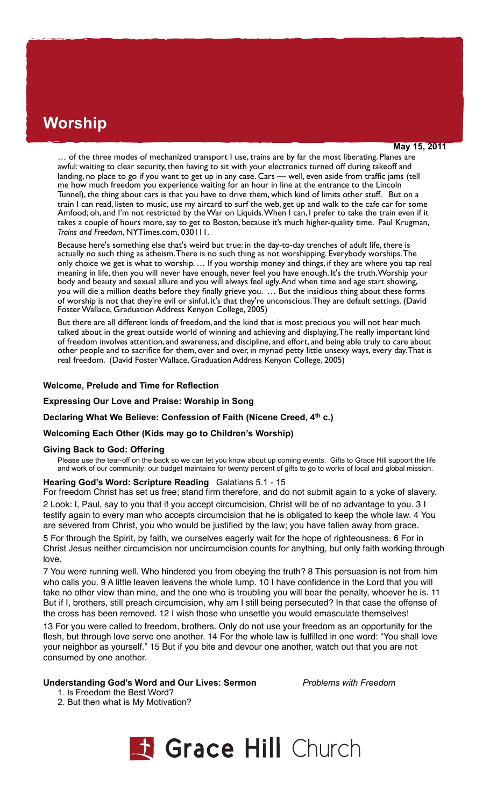# **Worship**

… of the three modes of mechanized transport I use, trains are by far the most liberating. Planes are awful: waiting to clear security, then having to sit with your electronics turned off during takeoff and landing, no place to go if you want to get up in any case. Cars — well, even aside from traffic jams (tell me how much freedom you experience waiting for an hour in line at the entrance to the Lincoln Tunnel), the thing about cars is that you have to drive them, which kind of limits other stuff. But on a train I can read, listen to music, use my aircard to surf the web, get up and walk to the cafe car for some Amfood; oh, and I'm not restricted by the War on Liquids. When I can, I prefer to take the train even if it takes a couple of hours more, say to get to Boston, because it's much higher-quality time. Paul Krugman, *Trains and Freedom*, NYTimes.com, 030111.

Because here's something else that's weird but true: in the day-to-day trenches of adult life, there is actually no such thing as atheism. There is no such thing as not worshipping. Everybody worships. The only choice we get is what to worship. … If you worship money and things, if they are where you tap real meaning in life, then you will never have enough, never feel you have enough. It's the truth. Worship your body and beauty and sexual allure and you will always feel ugly. And when time and age start showing, you will die a million deaths before they finally grieve you. … But the insidious thing about these forms of worship is not that they're evil or sinful, it's that they're unconscious. They are default settings. (David Foster Wallace, Graduation Address Kenyon College, 2005)

But there are all different kinds of freedom, and the kind that is most precious you will not hear much talked about in the great outside world of winning and achieving and displaying. The really important kind of freedom involves attention, and awareness, and discipline, and effort, and being able truly to care about other people and to sacrifice for them, over and over, in myriad petty little unsexy ways, every day. That is real freedom. (David Foster Wallace, Graduation Address Kenyon College, 2005)

# **Welcome, Prelude and Time for Reflection**

## **Expressing Our Love and Praise: Worship in Song**

**Declaring What We Believe: Confession of Faith (Nicene Creed, 4th c.)**

## **Welcoming Each Other (Kids may go to Children's Worship)**

## **Giving Back to God: Offering**

Please use the tear-off on the back so we can let you know about up coming events. Gifts to Grace Hill support the life and work of our community; our budget maintains for twenty percent of gifts to go to works of local and global mission.

## **Hearing God's Word: Scripture Reading** Galatians 5.1 - 15

For freedom Christ has set us free; stand firm therefore, and do not submit again to a yoke of slavery.

2 Look: I, Paul, say to you that if you accept circumcision, Christ will be of no advantage to you. 3 I testify again to every man who accepts circumcision that he is obligated to keep the whole law. 4 You are severed from Christ, you who would be justified by the law; you have fallen away from grace.

5 For through the Spirit, by faith, we ourselves eagerly wait for the hope of righteousness. 6 For in Christ Jesus neither circumcision nor uncircumcision counts for anything, but only faith working through love.

7 You were running well. Who hindered you from obeying the truth? 8 This persuasion is not from him who calls you. 9 A little leaven leavens the whole lump. 10 I have confidence in the Lord that you will take no other view than mine, and the one who is troubling you will bear the penalty, whoever he is. 11 But if I, brothers, still preach circumcision, why am I still being persecuted? In that case the offense of the cross has been removed. 12 I wish those who unsettle you would emasculate themselves!

13 For you were called to freedom, brothers. Only do not use your freedom as an opportunity for the flesh, but through love serve one another. 14 For the whole law is fulfilled in one word: "You shall love your neighbor as yourself." 15 But if you bite and devour one another, watch out that you are not consumed by one another.

## **Understanding God's Word and Our Lives: Sermon** *Problems with Freedom*

1. Is Freedom the Best Word?

2. But then what is My Motivation?